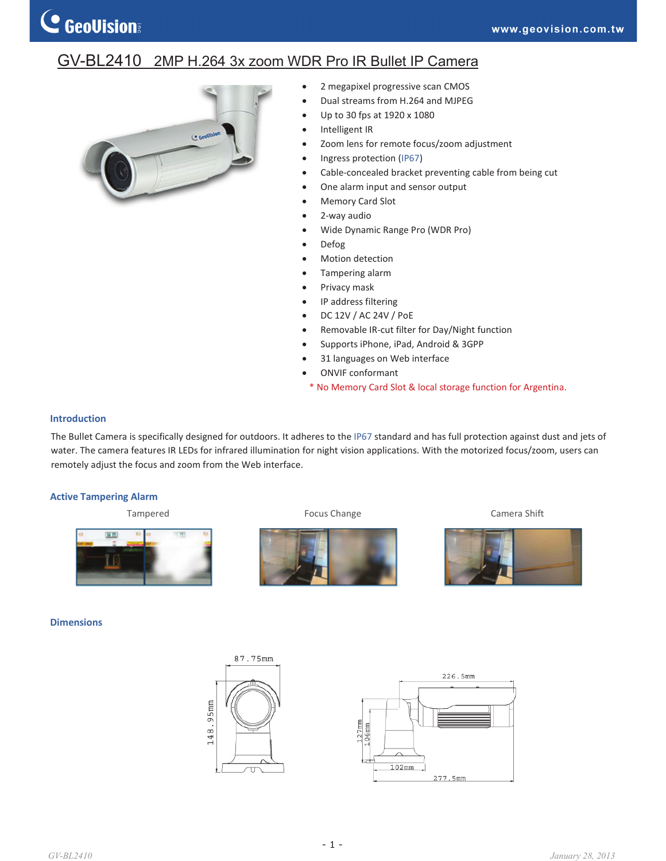# GV-BL2410 2MP H.264 3x zoom WDR Pro IR Bullet IP Camera



- 2 megapixel progressive scan CMOS
- Dual streams from H.264 and MJPEG
- x Up to 30 fps at 1920 x 1080
- Intelligent IR
- Zoom lens for remote focus/zoom adjustment
- Ingress protection (IP67)
- Cable-concealed bracket preventing cable from being cut
- One alarm input and sensor output
- Memory Card Slot
- 2-way audio
- x Wide Dynamic Range Pro (WDR Pro)
- Defog
- Motion detection
- Tampering alarm
- Privacy mask
- IP address filtering
- x DC 12V / AC 24V / PoE
- Removable IR-cut filter for Day/Night function
- Supports iPhone, iPad, Android & 3GPP
- 31 languages on Web interface
- ONVIF conformant
- \* No Memory Card Slot & local storage function for Argentina.

### **Introduction**

The Bullet Camera is specifically designed for outdoors. It adheres to the IP67 standard and has full protection against dust and jets of water. The camera features IR LEDs for infrared illumination for night vision applications. With the motorized focus/zoom, users can remotely adjust the focus and zoom from the Web interface.

## **Active Tampering Alarm**

Tampered **Focus Change Focus Change Camera Shift** 圖器 m

### **Dimensions**



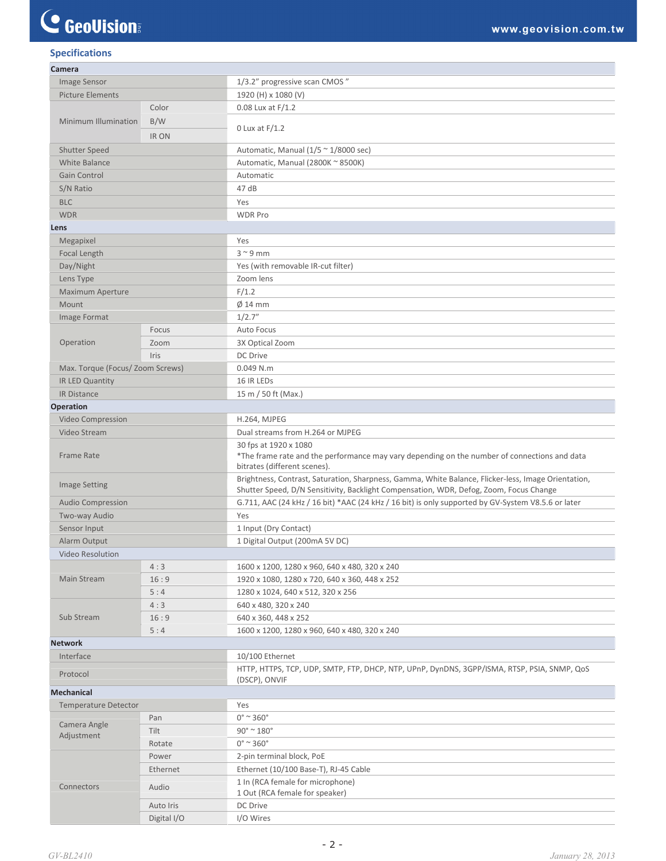# C GeoVision

# **Specifications**

| Camera                           |              |                                                                                                                                                                                               |
|----------------------------------|--------------|-----------------------------------------------------------------------------------------------------------------------------------------------------------------------------------------------|
| Image Sensor                     |              | 1/3.2" progressive scan CMOS"                                                                                                                                                                 |
| <b>Picture Elements</b>          |              | 1920 (H) x 1080 (V)                                                                                                                                                                           |
|                                  | Color        | $0.08$ Lux at $F/1.2$                                                                                                                                                                         |
| Minimum Illumination             | B/W          | 0 Lux at $F/1.2$                                                                                                                                                                              |
|                                  | <b>IR ON</b> |                                                                                                                                                                                               |
| <b>Shutter Speed</b>             |              | Automatic, Manual ( $1/5 \approx 1/8000$ sec)                                                                                                                                                 |
| White Balance                    |              | Automatic, Manual (2800K ~ 8500K)                                                                                                                                                             |
| Gain Control                     |              | Automatic                                                                                                                                                                                     |
| S/N Ratio                        |              | 47 dB                                                                                                                                                                                         |
| <b>BLC</b>                       |              | Yes                                                                                                                                                                                           |
| <b>WDR</b>                       |              | <b>WDR Pro</b>                                                                                                                                                                                |
| Lens                             |              |                                                                                                                                                                                               |
| Megapixel                        |              | Yes                                                                                                                                                                                           |
| Focal Length                     |              | $3^{\sim}9$ mm                                                                                                                                                                                |
| Day/Night                        |              | Yes (with removable IR-cut filter)                                                                                                                                                            |
|                                  |              | Zoom lens                                                                                                                                                                                     |
| Lens Type                        |              |                                                                                                                                                                                               |
| <b>Maximum Aperture</b><br>Mount |              | F/1.2                                                                                                                                                                                         |
|                                  |              | $\emptyset$ 14 mm<br>1/2.7''                                                                                                                                                                  |
| Image Format                     |              |                                                                                                                                                                                               |
| Operation                        | Focus        | <b>Auto Focus</b>                                                                                                                                                                             |
|                                  | Zoom         | 3X Optical Zoom                                                                                                                                                                               |
|                                  | Iris         | DC Drive                                                                                                                                                                                      |
| Max. Torque (Focus/ Zoom Screws) |              | $0.049$ N.m                                                                                                                                                                                   |
| IR LED Quantity                  |              | 16 IR LEDS                                                                                                                                                                                    |
| IR Distance                      |              | 15 m / 50 ft (Max.)                                                                                                                                                                           |
| Operation                        |              |                                                                                                                                                                                               |
| Video Compression                |              | H.264, MJPEG                                                                                                                                                                                  |
| Video Stream                     |              | Dual streams from H.264 or MJPEG                                                                                                                                                              |
| <b>Frame Rate</b>                |              | 30 fps at 1920 x 1080<br>*The frame rate and the performance may vary depending on the number of connections and data                                                                         |
|                                  |              | bitrates (different scenes).                                                                                                                                                                  |
| <b>Image Setting</b>             |              | Brightness, Contrast, Saturation, Sharpness, Gamma, White Balance, Flicker-less, Image Orientation,<br>Shutter Speed, D/N Sensitivity, Backlight Compensation, WDR, Defog, Zoom, Focus Change |
| <b>Audio Compression</b>         |              | G.711, AAC (24 kHz / 16 bit) *AAC (24 kHz / 16 bit) is only supported by GV-System V8.5.6 or later                                                                                            |
| Two-way Audio                    |              | Yes                                                                                                                                                                                           |
| Sensor Input                     |              | 1 Input (Dry Contact)                                                                                                                                                                         |
| Alarm Output                     |              | 1 Digital Output (200mA 5V DC)                                                                                                                                                                |
| Video Resolution                 |              |                                                                                                                                                                                               |
|                                  | 4:3          | 1600 x 1200, 1280 x 960, 640 x 480, 320 x 240                                                                                                                                                 |
| Main Stream                      | 16:9         | 1920 x 1080, 1280 x 720, 640 x 360, 448 x 252                                                                                                                                                 |
|                                  | 5:4          | 1280 x 1024, 640 x 512, 320 x 256                                                                                                                                                             |
|                                  | 4:3          | 640 x 480, 320 x 240                                                                                                                                                                          |
| Sub Stream                       | 16:9         | 640 x 360, 448 x 252                                                                                                                                                                          |
|                                  | 5:4          | 1600 x 1200, 1280 x 960, 640 x 480, 320 x 240                                                                                                                                                 |
| <b>Network</b>                   |              |                                                                                                                                                                                               |
| Interface                        |              | 10/100 Ethernet                                                                                                                                                                               |
| Protocol                         |              | HTTP, HTTPS, TCP, UDP, SMTP, FTP, DHCP, NTP, UPnP, DynDNS, 3GPP/ISMA, RTSP, PSIA, SNMP, QoS<br>(DSCP), ONVIF                                                                                  |
| <b>Mechanical</b>                |              |                                                                                                                                                                                               |
| <b>Temperature Detector</b>      |              | Yes                                                                                                                                                                                           |
| Camera Angle                     | Pan          | $0^\circ$ ~ 360 $^\circ$                                                                                                                                                                      |
| Adjustment                       | Tilt         | $90^\circ$ ~ $180^\circ$                                                                                                                                                                      |
|                                  | Rotate       | $0^\circ$ ~ 360 $^\circ$                                                                                                                                                                      |
| Connectors                       | Power        | 2-pin terminal block, PoE                                                                                                                                                                     |
|                                  | Ethernet     | Ethernet (10/100 Base-T), RJ-45 Cable                                                                                                                                                         |
|                                  | Audio        | 1 In (RCA female for microphone)<br>1 Out (RCA female for speaker)                                                                                                                            |
|                                  | Auto Iris    | DC Drive                                                                                                                                                                                      |
|                                  | Digital I/O  | I/O Wires                                                                                                                                                                                     |